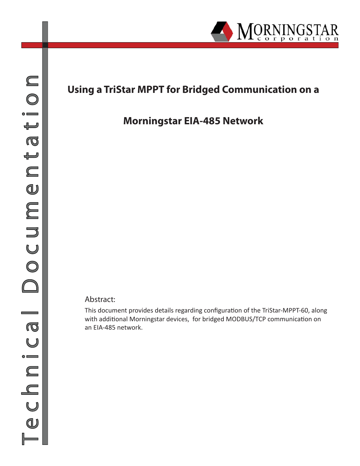

# **Using a TriStar MPPT for Bridged Communication on a**

## **Morningstar EIA-485 Network**

#### Abstract:

This document provides details regarding configuration of the TriStar-MPPT-60, along with additional Morningstar devices, for bridged MODBUS/TCP communication on an EIA-485 network.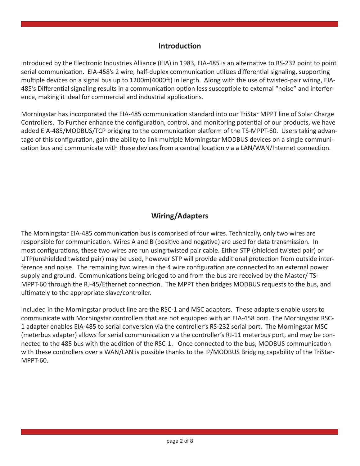#### **Introduction**

Introduced by the Electronic Industries Alliance (EIA) in 1983, EIA-485 is an alternative to RS-232 point to point serial communication. EIA-458's 2 wire, half-duplex communication utilizes differential signaling, supporting multiple devices on a signal bus up to 1200m(4000ft) in length. Along with the use of twisted-pair wiring, EIA-485's Differential signaling results in a communication option less susceptible to external "noise" and interference, making it ideal for commercial and industrial applications.

Morningstar has incorporated the EIA-485 communication standard into our TriStar MPPT line of Solar Charge Controllers. To Further enhance the configuration, control, and monitoring potential of our products, we have added EIA-485/MODBUS/TCP bridging to the communication platform of the TS-MPPT-60. Users taking advantage of this configuration, gain the ability to link multiple Morningstar MODBUS devices on a single communication bus and communicate with these devices from a central location via a LAN/WAN/Internet connection.

### **Wiring/Adapters**

The Morningstar EIA-485 communication bus is comprised of four wires. Technically, only two wires are responsible for communication. Wires A and B (positive and negative) are used for data transmission. In most configurations, these two wires are run using twisted pair cable. Either STP (shielded twisted pair) or UTP(unshielded twisted pair) may be used, however STP will provide additional protection from outside interference and noise. The remaining two wires in the 4 wire configuration are connected to an external power supply and ground. Communications being bridged to and from the bus are received by the Master/ TS-MPPT-60 through the RJ-45/Ethernet connection. The MPPT then bridges MODBUS requests to the bus, and ultimately to the appropriate slave/controller.

Included in the Morningstar product line are the RSC-1 and MSC adapters. These adapters enable users to communicate with Morningstar controllers that are not equipped with an EIA-458 port. The Morningstar RSC-1 adapter enables EIA-485 to serial conversion via the controller's RS-232 serial port. The Morningstar MSC (meterbus adapter) allows for serial communication via the controller's RJ-11 meterbus port, and may be connected to the 485 bus with the addition of the RSC-1. Once connected to the bus, MODBUS communication with these controllers over a WAN/LAN is possible thanks to the IP/MODBUS Bridging capability of the TriStar-MPPT-60.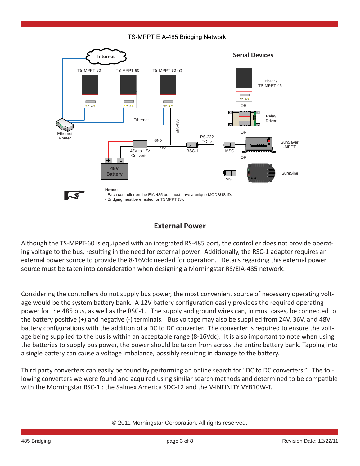#### TS-MPPT EIA-485 Bridging Network



#### **External Power**

Although the TS-MPPT-60 is equipped with an integrated RS-485 port, the controller does not provide operating voltage to the bus, resulting in the need for external power. Additionally, the RSC-1 adapter requires an external power source to provide the 8-16Vdc needed for operation. Details regarding this external power source must be taken into consideration when designing a Morningstar RS/EIA-485 network.

Considering the controllers do not supply bus power, the most convenient source of necessary operating voltage would be the system battery bank. A 12V battery configuration easily provides the required operating power for the 485 bus, as well as the RSC-1. The supply and ground wires can, in most cases, be connected to the battery positive (+) and negative (-) terminals. Bus voltage may also be supplied from 24V, 36V, and 48V battery configurations with the addition of a DC to DC converter. The converter is required to ensure the voltage being supplied to the bus is within an acceptable range (8-16Vdc). It is also important to note when using the batteries to supply bus power, the power should be taken from across the entire battery bank. Tapping into a single battery can cause a voltage imbalance, possibly resulting in damage to the battery.

Third party converters can easily be found by performing an online search for "DC to DC converters." The following converters we were found and acquired using similar search methods and determined to be compatible with the Morningstar RSC-1 : the Salmex America SDC-12 and the V-INFINITY VYB10W-T.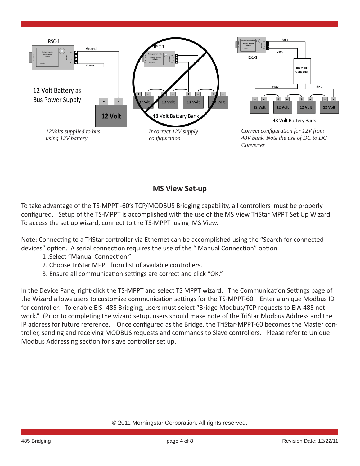

### **MS View Set-up**

To take advantage of the TS-MPPT -60's TCP/MODBUS Bridging capability, all controllers must be properly configured. Setup of the TS-MPPT is accomplished with the use of the MS View TriStar MPPT Set Up Wizard. To access the set up wizard, connect to the TS-MPPT using MS View.

Note: Connecting to a TriStar controller via Ethernet can be accomplished using the "Search for connected devices" option. A serial connection requires the use of the " Manual Connection" option.

- 1 .Select "Manual Connection."
- 2. Choose TriStar MPPT from list of available controllers.
- 3. Ensure all communication settings are correct and click "OK."

In the Device Pane, right-click the TS-MPPT and select TS MPPT wizard. The Communication Settings page of the Wizard allows users to customize communication settings for the TS-MPPT-60. Enter a unique Modbus ID for controller. To enable EIS- 485 Bridging, users must select "Bridge Modbus/TCP requests to EIA-485 network." (Prior to completing the wizard setup, users should make note of the TriStar Modbus Address and the IP address for future reference. Once configured as the Bridge, the TriStar-MPPT-60 becomes the Master controller, sending and receiving MODBUS requests and commands to Slave controllers. Please refer to Unique Modbus Addressing section for slave controller set up.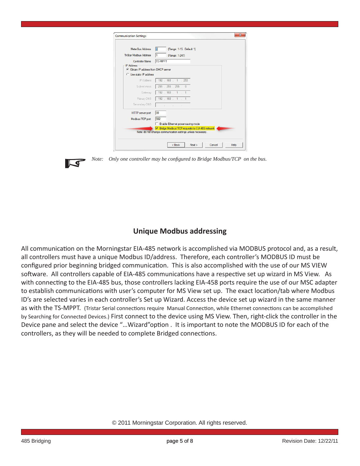| MeterBus Address                     | (Range: 1-15. Default 1)<br>l1                  |  |
|--------------------------------------|-------------------------------------------------|--|
| <b>TriStar Modbus Address</b>        | 1<br>(Range: 1-247)                             |  |
| <b>Controller Name</b>               | <b>TS-MPPT</b>                                  |  |
| <b>IP Address</b>                    |                                                 |  |
| C Obtain IP address from DHCP server |                                                 |  |
| C Use static IP address              |                                                 |  |
| IP Address                           | 192 . 168 . 1 . 253                             |  |
| Subnet mask                          | 255 . 255 . 255 . 0                             |  |
| Gateway                              | 192 . 168 . 1                                   |  |
| Primary DNS                          | $192.168.1$ .                                   |  |
| Secondary DNS                        | 그렇게 그렇게 그렇게 그렇게 없었다.                            |  |
| <b>HTTP</b> server port              | 80                                              |  |
| Modbus/TCP port                      | 502                                             |  |
|                                      | Enable Ethemet power-saving mode                |  |
|                                      | Ⅳ Bridge Modbus/TCP requests to EIA-485 network |  |

*Note:* Only one controller may be configured to Bridge Modbus/TCP on the bus.

#### **Unique Modbus addressing**

All communication on the Morningstar EIA-485 network is accomplished via MODBUS protocol and, as a result, all controllers must have a unique Modbus ID/address. Therefore, each controller's MODBUS ID must be configured prior beginning bridged communication. This is also accomplished with the use of our MS VIEW software. All controllers capable of EIA-485 communications have a respective set up wizard in MS View. As with connecting to the EIA-485 bus, those controllers lacking EIA-458 ports require the use of our MSC adapter to establish communications with user's computer for MS View set up. The exact location/tab where Modbus ID's are selected varies in each controller's Set up Wizard. Access the device set up wizard in the same manner as with the TS-MPPT. (Tristar Serial connections require Manual Connection, while Ethernet connections can be accomplished by Searching for Connected Devices.) First connect to the device using MS View. Then, right-click the controller in the Device pane and select the device "...Wizard"option . It is important to note the MODBUS ID for each of the controllers, as they will be needed to complete Bridged connections.

 $\blacksquare$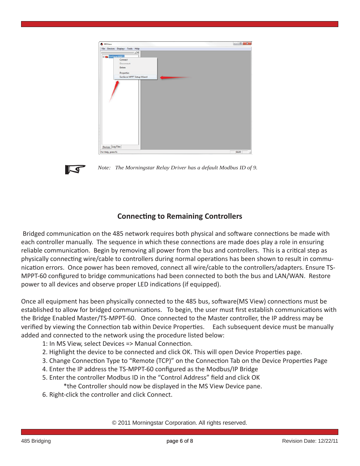

 $\overline{\mathcal{A}}$ 

*Note: The Morningstar Relay Driver has a default Modbus ID of 9.*

#### **Connecting to Remaining Controllers**

Bridged communication on the 485 network requires both physical and software connections be made with each controller manually. The sequence in which these connections are made does play a role in ensuring reliable communication. Begin by removing all power from the bus and controllers. This is a critical step as physically connecting wire/cable to controllers during normal operations has been shown to result in communication errors. Once power has been removed, connect all wire/cable to the controllers/adapters. Ensure TS-MPPT-60 configured to bridge communications had been connected to both the bus and LAN/WAN. Restore power to all devices and observe proper LED indications (if equipped).

Once all equipment has been physically connected to the 485 bus, software(MS View) connections must be established to allow for bridged communications. To begin, the user must first establish communications with the Bridge Enabled Master/TS-MPPT-60. Once connected to the Master controller, the IP address may be verified by viewing the Connection tab within Device Properties. Each subsequent device must be manually added and connected to the network using the procedure listed below:

- 1: In MS View, select Devices => Manual Connection.
- 2. Highlight the device to be connected and click OK. This will open Device Properties page.
- 3. Change Connection Type to "Remote (TCP)" on the Connection Tab on the Device Properties Page
- 4. Enter the IP address the TS-MPPT-60 configured as the Modbus/IP Bridge
- 5. Enter the controller Modbus ID in the "Control Address" field and click OK
	- \*the Controller should now be displayed in the MS View Device pane.
- 6. Right-click the controller and click Connect.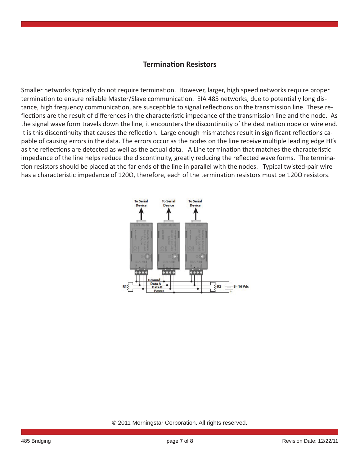#### **TerminaƟ on Resistors**

Smaller networks typically do not require termination. However, larger, high speed networks require proper termination to ensure reliable Master/Slave communication. EIA 485 networks, due to potentially long distance, high frequency communication, are susceptible to signal reflections on the transmission line. These reflections are the result of differences in the characteristic impedance of the transmission line and the node. As the signal wave form travels down the line, it encounters the discontinuity of the destination node or wire end. It is this discontinuity that causes the reflection. Large enough mismatches result in significant reflections capable of causing errors in the data. The errors occur as the nodes on the line receive multiple leading edge HI's as the reflections are detected as well as the actual data. A Line termination that matches the characteristic impedance of the line helps reduce the discontinuity, greatly reducing the reflected wave forms. The termination resistors should be placed at the far ends of the line in parallel with the nodes. Typical twisted-pair wire has a characteristic impedance of 120Ω, therefore, each of the termination resistors must be 120Ω resistors.